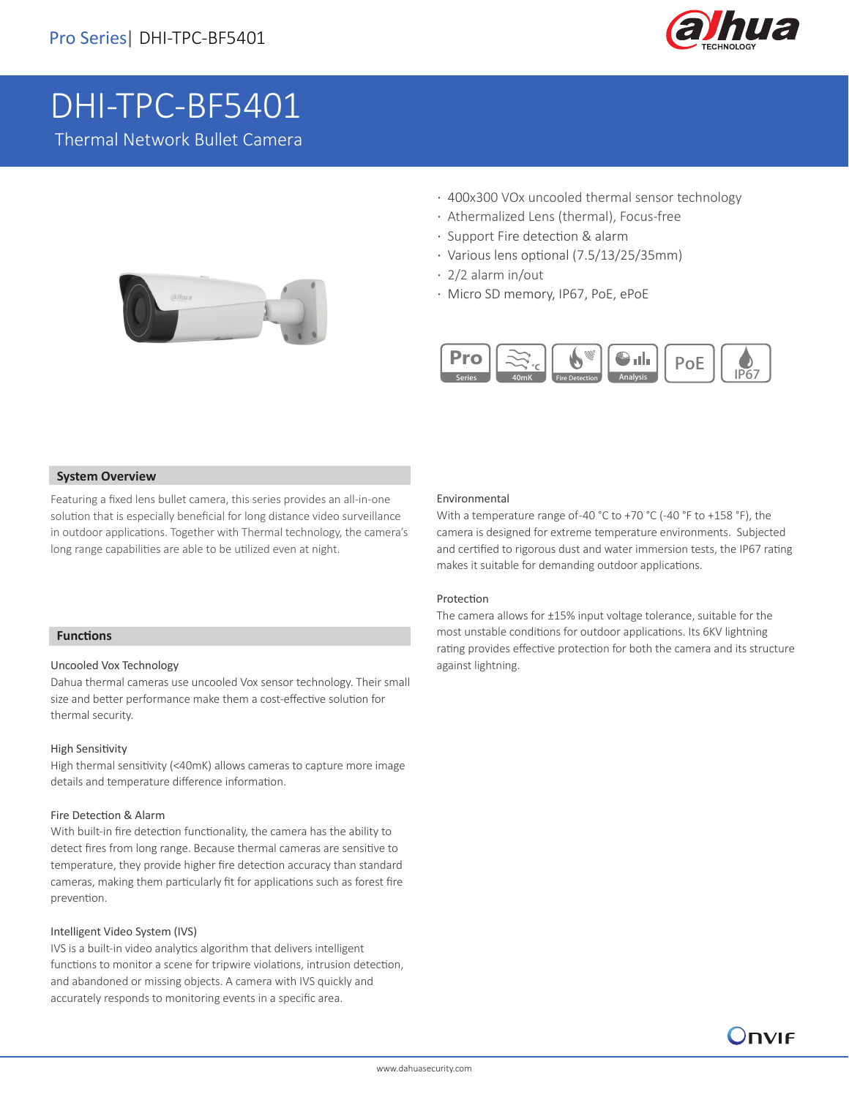

# DHI-TPC-BF5401

Thermal Network Bullet Camera



- · 400x300 VOx uncooled thermal sensor technology
- · Athermalized Lens (thermal), Focus-free
- · Support Fire detection & alarm
- · Various lens optional (7.5/13/25/35mm)
- · 2/2 alarm in/out
- · Micro SD memory, IP67, PoE, ePoE



#### **System Overview**

Featuring a fixed lens bullet camera, this series provides an all-in-one solution that is especially beneficial for long distance video surveillance in outdoor applications. Together with Thermal technology, the camera's long range capabilities are able to be utilized even at night.

## **Functions**

I

#### Uncooled Vox Technology

Dahua thermal cameras use uncooled Vox sensor technology. Their small size and better performance make them a cost-effective solution for thermal security.

#### High Sensitivity

High thermal sensitivity (<40mK) allows cameras to capture more image details and temperature difference information.

#### Fire Detection & Alarm

With built-in fire detection functionality, the camera has the ability to detect fires from long range. Because thermal cameras are sensitive to temperature, they provide higher fire detection accuracy than standard cameras, making them particularly fit for applications such as forest fire prevention.

#### Intelligent Video System (IVS)

IVS is a built-in video analytics algorithm that delivers intelligent functions to monitor a scene for tripwire violations, intrusion detection, and abandoned or missing objects. A camera with IVS quickly and accurately responds to monitoring events in a specific area.

#### Environmental

With a temperature range of-40 °C to +70 °C (-40 °F to +158 °F), the camera is designed for extreme temperature environments. Subjected and certified to rigorous dust and water immersion tests, the IP67 rating makes it suitable for demanding outdoor applications.

#### Protection

The camera allows for ±15% input voltage tolerance, suitable for the most unstable conditions for outdoor applications. Its 6KV lightning rating provides effective protection for both the camera and its structure against lightning.

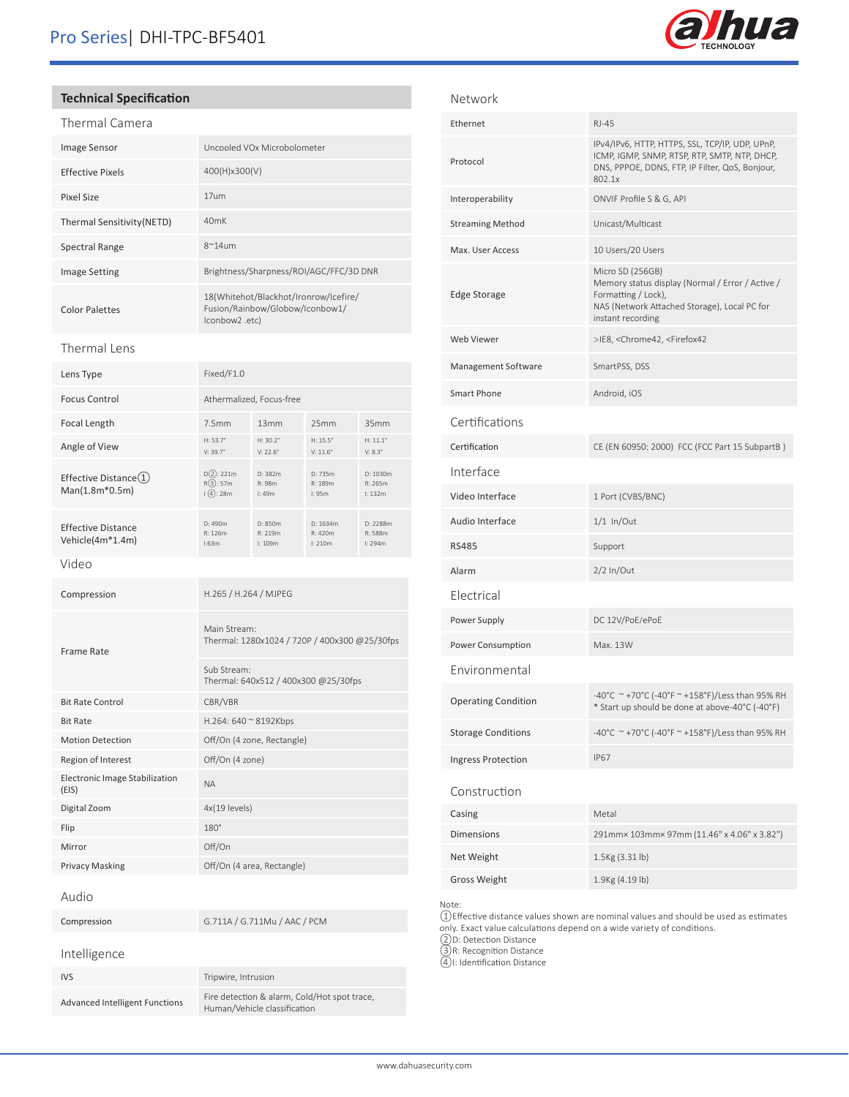

## **Technical Specification**

| Thermal Camera             |                                                                                             |
|----------------------------|---------------------------------------------------------------------------------------------|
| <b>Image Sensor</b>        | Uncooled VOx Microbolometer                                                                 |
| <b>Effective Pixels</b>    | 400(H)x300(V)                                                                               |
| Pixel Size                 | 17um                                                                                        |
| Thermal Sensitivity (NETD) | 40 <sub>m</sub> K                                                                           |
| Spectral Range             | $8^{\sim}14$ um                                                                             |
| <b>Image Setting</b>       | Brightness/Sharpness/ROI/AGC/FFC/3D DNR                                                     |
| <b>Color Palettes</b>      | 18(Whitehot/Blackhot/Ironrow/Icefire/<br>Fusion/Rainbow/Globow/Iconbow1/<br>(lconbow2 .etc. |

#### Thermal Lens

| Lens Type                                              | Fixed/F1.0                                                    |                               |                                    |                                     |
|--------------------------------------------------------|---------------------------------------------------------------|-------------------------------|------------------------------------|-------------------------------------|
| <b>Focus Control</b>                                   | Athermalized, Focus-free                                      |                               |                                    |                                     |
| Focal Length                                           | 7.5mm                                                         | 13mm                          | 25mm                               | 35mm                                |
| Angle of View                                          | $H: 53.7^{\circ}$<br>$V: 39.7^{\circ}$                        | $H: 30.2^{\circ}$<br>V: 22.6° | H: $15.5^\circ$<br>$V: 11.6^\circ$ | $H: 11.1^{\circ}$<br>$V: 8.3^\circ$ |
| Effective Distance $\textcircled{1}$<br>Man(1.8m*0.5m) | $D(2)$ : 221m<br>R(3):57m<br>$(\sqrt{4}):28m$                 | D: 382m<br>R: 98m<br>l:49m    | D: 735m<br>R: 189m<br>l:95m        | D: 1030m<br>R: 265m<br>l: 132m      |
| <b>Effective Distance</b><br>Vehicle(4m*1.4m)          | D: 490m<br>R: 126m<br>1:63m                                   | D: 850m<br>R: 219m<br>I: 109m | D: 1634m<br>R: 420m<br>l: 210m     | D: 2288m<br>R: 588m<br>l: 294m      |
| Video                                                  |                                                               |                               |                                    |                                     |
| Compression                                            |                                                               | H.265 / H.264 / MJPEG         |                                    |                                     |
| <b>Frame Rate</b>                                      | Main Stream:<br>Thermal: 1280x1024 / 720P / 400x300 @25/30fps |                               |                                    |                                     |
|                                                        | Sub Stream:<br>Thermal: 640x512 / 400x300 @25/30fps           |                               |                                    |                                     |
| <b>Bit Rate Control</b>                                | CBR/VBR                                                       |                               |                                    |                                     |
| <b>Bit Rate</b>                                        | H.264: 640 ~ 8192Kbps                                         |                               |                                    |                                     |
| <b>Motion Detection</b>                                | Off/On (4 zone, Rectangle)                                    |                               |                                    |                                     |
| Region of Interest                                     |                                                               | Off/On (4 zone)               |                                    |                                     |
| Electronic Image Stabilization<br>(EIS)                | <b>NA</b>                                                     |                               |                                    |                                     |
| Digital Zoom                                           | 4x(19 levels)                                                 |                               |                                    |                                     |
| Flip                                                   | $180^\circ$                                                   |                               |                                    |                                     |
| Mirror                                                 | Off/On                                                        |                               |                                    |                                     |
| Privacy Masking                                        |                                                               | Off/On (4 area, Rectangle)    |                                    |                                     |
| Audio                                                  |                                                               |                               |                                    |                                     |
| Compression                                            |                                                               | G.711A / G.711Mu / AAC / PCM  |                                    |                                     |
| Intelligence                                           |                                                               |                               |                                    |                                     |
| <b>IVS</b>                                             | Tripwire, Intrusion                                           |                               |                                    |                                     |

| <b>Advanced Intelligent Function</b> |  |
|--------------------------------------|--|

Advanced Intelligent Functions<br>Human/Vehicle classification<br>Human/Vehicle classification

| Network                    |                                                                                                                                                                  |
|----------------------------|------------------------------------------------------------------------------------------------------------------------------------------------------------------|
| Ethernet                   | RJ-45                                                                                                                                                            |
| Protocol                   | IPv4/IPv6, HTTP, HTTPS, SSL, TCP/IP, UDP, UPnP,<br>ICMP, IGMP, SNMP, RTSP, RTP, SMTP, NTP, DHCP,<br>DNS, PPPOE, DDNS, FTP, IP Filter, QoS, Bonjour,<br>802.1x    |
| Interoperability           | ONVIF Profile S & G, API                                                                                                                                         |
| <b>Streaming Method</b>    | Unicast/Multicast                                                                                                                                                |
| Max. User Access           | 10 Users/20 Users                                                                                                                                                |
| <b>Edge Storage</b>        | Micro SD (256GB)<br>Memory status display (Normal / Error / Active /<br>Formatting / Lock),<br>NAS (Network Attached Storage), Local PC for<br>instant recording |
| Web Viewer                 | >IE8, <chrome42, <firefox42<="" td=""></chrome42,>                                                                                                               |
| Management Software        | SmartPSS, DSS                                                                                                                                                    |
| Smart Phone                | Android, iOS                                                                                                                                                     |
| Certifications             |                                                                                                                                                                  |
| Certification              | CE (EN 60950: 2000) FCC (FCC Part 15 SubpartB)                                                                                                                   |
| Interface                  |                                                                                                                                                                  |
| Video Interface            | 1 Port (CVBS/BNC)                                                                                                                                                |
| Audio Interface            | $1/1$ In/Out                                                                                                                                                     |
| <b>RS485</b>               | Support                                                                                                                                                          |
| Alarm                      | $2/2$ In/Out                                                                                                                                                     |
| <b>Flectrical</b>          |                                                                                                                                                                  |
| Power Supply               | DC 12V/PoE/ePoE                                                                                                                                                  |
| Power Consumption          | Max. 13W                                                                                                                                                         |
| Environmental              |                                                                                                                                                                  |
| <b>Operating Condition</b> | -40°C ~+70°C (-40°F ~ +158°F)/Less than 95% RH<br>* Start up should be done at above-40°C (-40°F)                                                                |
| <b>Storage Conditions</b>  | -40°C ~+70°C (-40°F ~+158°F)/Less than 95% RH                                                                                                                    |
| Ingress Protection         | <b>IP67</b>                                                                                                                                                      |
| Construction               |                                                                                                                                                                  |
| Casing                     | Metal                                                                                                                                                            |
| <b>Dimensions</b>          | 291mm× 103mm× 97mm (11.46" x 4.06" x 3.82")                                                                                                                      |
| Net Weight                 | 1.5Kg (3.31 lb)                                                                                                                                                  |

Note:

①Effective distance values shown are nominal values and should be used as estimates only. Exact value calculations depend on a wide variety of conditions.

②D: Detection Distance

Gross Weight 1.9Kg (4.19 lb)

③R: Recognition Distance

④I: Identification Distance